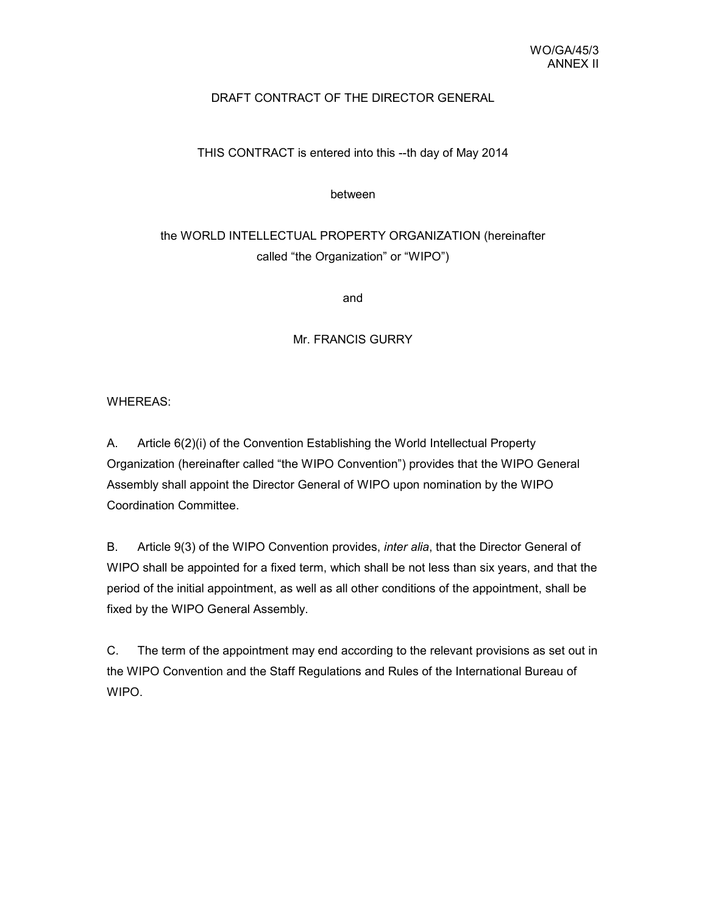## DRAFT CONTRACT OF THE DIRECTOR GENERAL

## THIS CONTRACT is entered into this --th day of May 2014

between

# the WORLD INTELLECTUAL PROPERTY ORGANIZATION (hereinafter called "the Organization" or "WIPO")

and

Mr. FRANCIS GURRY

WHEREAS:

A. Article 6(2)(i) of the Convention Establishing the World Intellectual Property Organization (hereinafter called "the WIPO Convention") provides that the WIPO General Assembly shall appoint the Director General of WIPO upon nomination by the WIPO Coordination Committee.

B. Article 9(3) of the WIPO Convention provides, *inter alia*, that the Director General of WIPO shall be appointed for a fixed term, which shall be not less than six years, and that the period of the initial appointment, as well as all other conditions of the appointment, shall be fixed by the WIPO General Assembly.

C. The term of the appointment may end according to the relevant provisions as set out in the WIPO Convention and the Staff Regulations and Rules of the International Bureau of WIPO.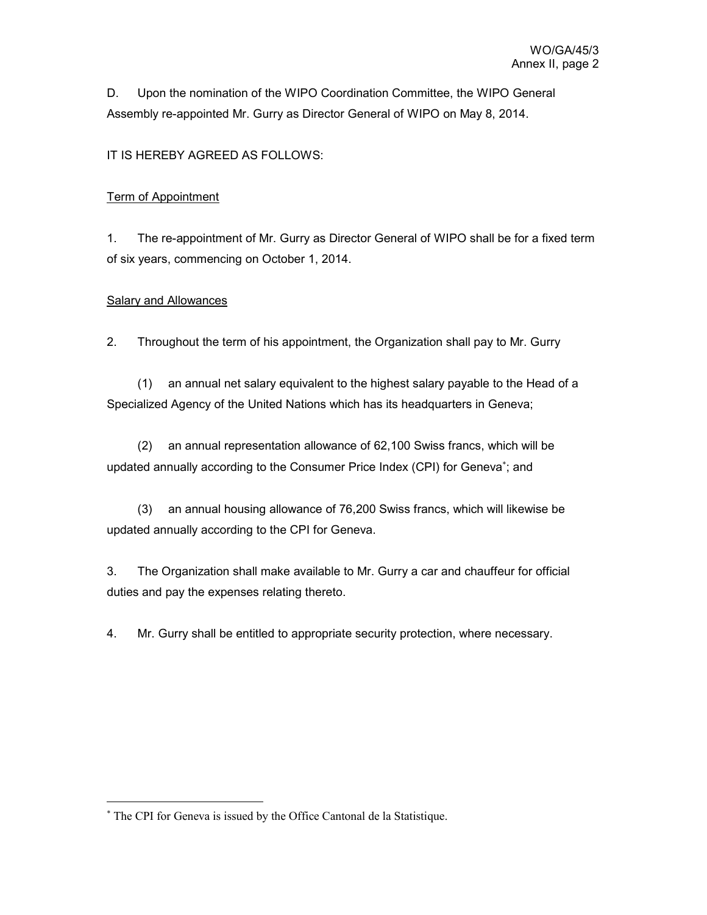D. Upon the nomination of the WIPO Coordination Committee, the WIPO General Assembly re-appointed Mr. Gurry as Director General of WIPO on May 8, 2014.

## IT IS HEREBY AGREED AS FOLLOWS:

#### Term of Appointment

1. The re-appointment of Mr. Gurry as Director General of WIPO shall be for a fixed term of six years, commencing on October 1, 2014.

### Salary and Allowances

 $\ddot{\phantom{a}}$ 

2. Throughout the term of his appointment, the Organization shall pay to Mr. Gurry

 (1) an annual net salary equivalent to the highest salary payable to the Head of a Specialized Agency of the United Nations which has its headquarters in Geneva;

 (2) an annual representation allowance of 62,100 Swiss francs, which will be updated annually according to the Consumer Price Index (CPI) for Geneva<sup>\*</sup>; and

 (3) an annual housing allowance of 76,200 Swiss francs, which will likewise be updated annually according to the CPI for Geneva.

3. The Organization shall make available to Mr. Gurry a car and chauffeur for official duties and pay the expenses relating thereto.

4. Mr. Gurry shall be entitled to appropriate security protection, where necessary.

<sup>∗</sup> The CPI for Geneva is issued by the Office Cantonal de la Statistique.